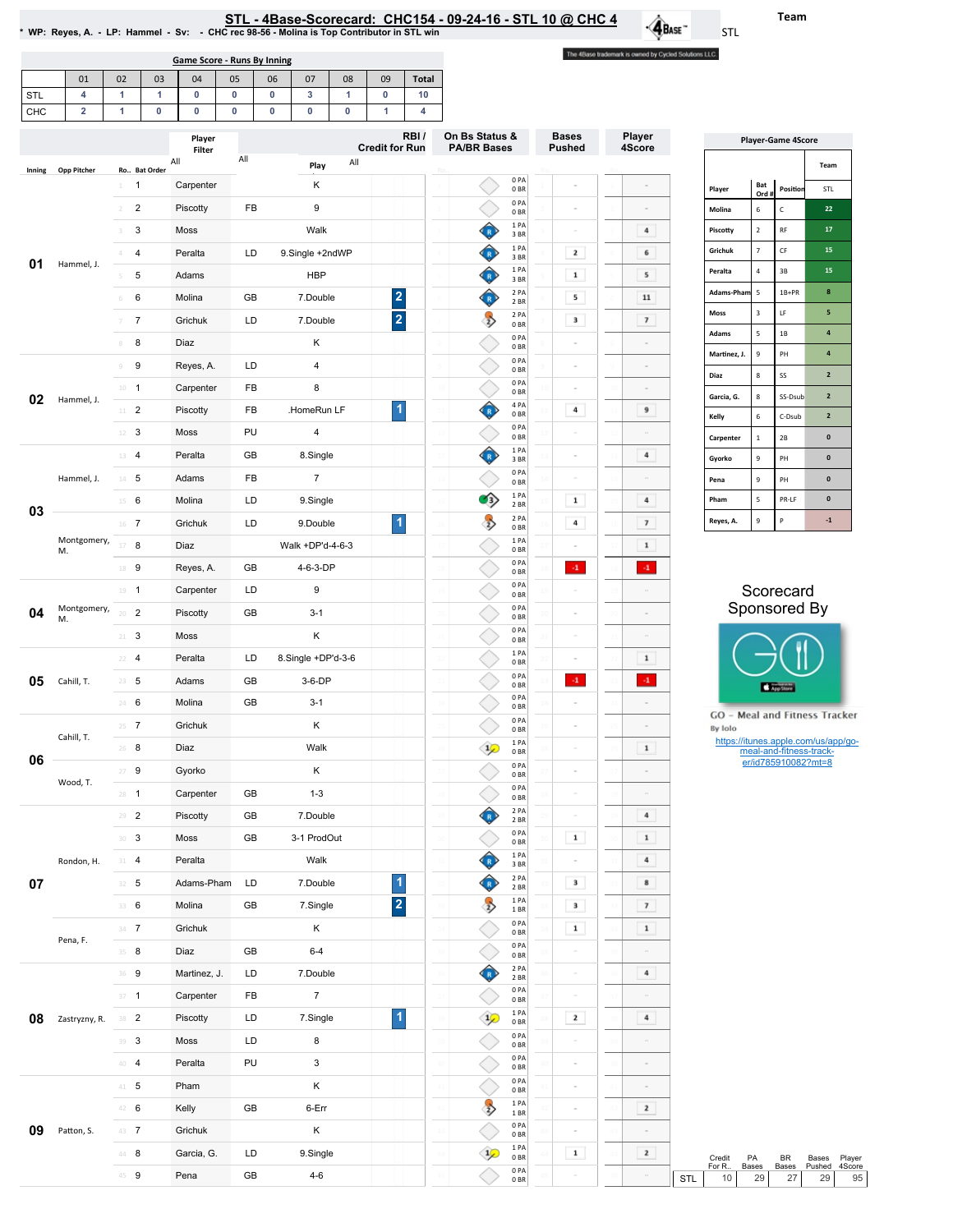| * WP: Reyes, A. - LP: Hammel - Sv: - CHC rec 98-56 - Molina is Top Contributor in STL win |  |
|-------------------------------------------------------------------------------------------|--|

01 02 03 04 05 06 07 08 09 Total

Game Score - Runs By Inning

The 4Base trademark is owned by Cycled Solutions LLC.

 $\cdot \mathbf{A}_{\text{Base}}$ 

| <b>STL</b> | 4                       | $\mathbf{1}$    | $\mathbf{1}$                   | $\pmb{0}$               | 0         | $\pmb{0}$   | 3                            | $\mathbf{1}$ | $\mathbf 0$             | 10   |                                      |                          |                               |                          |     |                                                |                            |                                                |                                     |
|------------|-------------------------|-----------------|--------------------------------|-------------------------|-----------|-------------|------------------------------|--------------|-------------------------|------|--------------------------------------|--------------------------|-------------------------------|--------------------------|-----|------------------------------------------------|----------------------------|------------------------------------------------|-------------------------------------|
| CHC        | $\overline{\mathbf{2}}$ | $\mathbf{1}$    | $\mathbf 0$                    | $\pmb{0}$               | $\pmb{0}$ | $\mathbf 0$ | $\pmb{0}$                    | $\mathbf 0$  | 1                       | 4    |                                      |                          |                               |                          |     |                                                |                            |                                                |                                     |
|            |                         |                 |                                | Player<br>Filter<br>All | All       |             | Play                         | All          | <b>Credit for Run</b>   | RBI/ | On Bs Status &<br><b>PA/BR Bases</b> |                          | <b>Bases</b><br><b>Pushed</b> | Player<br>4Score         |     |                                                |                            | <b>Player-Game 4Score</b>                      | Team                                |
| Inning     | Opp Pitcher             | $1 -$           | Ro Bat Order<br>$\overline{1}$ | Carpenter               |           |             | κ                            |              |                         |      |                                      | 0PA<br>0BR               |                               |                          |     | Player                                         | Bat                        | Position                                       | STL                                 |
|            |                         | $\overline{2}$  | $\overline{c}$                 | Piscotty                | FB        |             | 9                            |              |                         |      |                                      | 0PA<br>0 <sub>BR</sub>   |                               |                          |     | Molina                                         | Ord #<br>6                 | c                                              | 22                                  |
|            |                         | 3               | $\mathbf{3}$                   | Moss                    |           |             | Walk                         |              |                         |      | €                                    | 1 PA<br>3 BR             | $\overline{a}$                | $\bf{4}$                 |     | Piscotty                                       | $\mathbf 2$                | $\mathsf{RF}$                                  | ${\bf 17}$                          |
|            |                         | 4               | 4                              | Peralta                 | LD        |             | 9.Single +2ndWP              |              |                         |      | ♦                                    | 1PA                      | $\mathbf{z}$                  | 6                        |     | Grichuk                                        | $\overline{7}$             | $\mathsf{CF}$                                  | 15                                  |
| 01         | Hammel, J.              | 5               | 5                              | Adams                   |           |             | <b>HBP</b>                   |              |                         |      | ♦                                    | 3BR<br>1PA               | $\mathbf 1$                   | 5                        |     | Peralta                                        | $\sqrt{4}$                 | $3\mathsf{B}$                                  | 15                                  |
|            |                         | 6               | 6                              | Molina                  | GB        |             | 7.Double                     |              | $\overline{\mathbf{2}}$ |      | ♦                                    | 3 BR<br>2 PA<br>2 BR     | 5                             | $\bf{11}$                |     | Adams-Pham                                     | $\sqrt{5}$                 | $1B+PR$                                        | 8                                   |
|            |                         | 7               | $\overline{7}$                 | Grichuk                 | LD        |             | 7.Double                     |              | $\overline{\mathbf{2}}$ |      | $\rightarrow$                        | 2 PA                     | $\mathbf 3$                   | $\overline{\phantom{a}}$ |     | <b>Moss</b>                                    | $\ensuremath{\mathsf{3}}$  | LF                                             | 5                                   |
|            |                         | 8               | 8                              | Diaz                    |           |             | К                            |              |                         |      |                                      | 0BR<br>0PA               |                               |                          |     | Adams                                          | $\mathsf S$                | $1\mathsf{B}$                                  | $\overline{\mathbf{a}}$             |
|            |                         | 9               | 9                              | Reyes, A.               | LD        |             | $\overline{4}$               |              |                         |      |                                      | 0 <sub>BR</sub><br>0 PA  | $\sim$                        | $\sim$                   |     | Martinez, J.                                   | $\mathbf{9}$               | PH                                             | $\overline{\mathbf{a}}$             |
|            |                         | $10 - 1$        |                                | Carpenter               | FB        |             | 8                            |              |                         |      |                                      | 0 <sub>BR</sub><br>0PA   | $\overline{a}$                | $\circ$                  |     | Diaz                                           | $\bf8$                     | SS                                             | $\overline{\mathbf{2}}$             |
| 02         | Hammel, J.              | $11$ 2          |                                | Piscotty                | FB        |             | HomeRun LF                   |              | $\vert$                 |      | ♦                                    | 0 <sub>BR</sub><br>4 PA  | 4                             | 9                        |     | Garcia, G.                                     | $\bf 8$                    | SS-Dsub                                        | $\mathbf{2}$                        |
|            |                         | $12 - 3$        |                                | Moss                    | PU        |             | $\overline{4}$               |              |                         |      |                                      | 0 <sub>BR</sub><br>0PA   | $\sim$                        |                          |     | Kelly                                          | $\sf 6$                    | C-Dsub                                         | $\overline{2}$                      |
|            |                         | 13 4            |                                | Peralta                 | GB        |             | 8.Single                     |              |                         |      | ♦                                    | 0BR<br>1PA               | $\overline{a}$                | $\bf{4}$                 |     | Carpenter                                      | $\mathbf 1$                | $2\mathsf{B}$                                  | $\pmb{0}$                           |
|            | Hammel, J.              | $14 - 5$        |                                | Adams                   | FB        |             | $\overline{7}$               |              |                         |      |                                      | 3 BR<br>0PA              | $\overline{a}$                |                          |     | Gyorko                                         | $\mathbf{9}$               | PH                                             | $\pmb{0}$<br>$\pmb{0}$              |
|            |                         | $15 \t 6$       |                                | Molina                  | LD        |             | 9.Single                     |              |                         |      | Ø}                                   | 0 BR<br>1 PA             | $\mathbf 1$                   | 4                        |     | Pena<br>Pham                                   | $\mathbf{9}$<br>$\sqrt{5}$ | PH<br>PR-LF                                    | $\pmb{0}$                           |
| 03         |                         |                 |                                |                         | LD        |             |                              |              | $\blacktriangleleft$    |      | $\rightarrow$                        | 2 BR<br>2 PA             | 4                             | $\overline{\phantom{a}}$ |     | Reyes, A.                                      | $\mathbf 9$                | P                                              | $^{\rm -1}$                         |
|            | Montgomery,             | $16$ 7<br>17    |                                | Grichuk                 |           |             | 9.Double<br>Walk +DP'd-4-6-3 |              |                         |      |                                      | 0BR<br>1PA               |                               | $\mathbf 1$              |     |                                                |                            |                                                |                                     |
|            | M.                      |                 | 8                              | Diaz                    |           |             |                              |              |                         |      |                                      | 0 BR<br>0PA              | $\cdot 1$                     | $(4)$                    |     |                                                |                            |                                                |                                     |
|            |                         | 18 9            |                                | Reyes, A.               | GB        |             | 4-6-3-DP<br>9                |              |                         |      |                                      | 0 <sub>BR</sub><br>0PA   |                               |                          |     |                                                |                            | Scorecard                                      |                                     |
|            | Montgomery,             | $19 - 1$        |                                | Carpenter               | LD        |             |                              |              |                         |      |                                      | 0BR<br>0PA               |                               |                          |     |                                                |                            | Sponsored By                                   |                                     |
| 04         | M.                      | 20              | $\overline{2}$                 | Piscotty                | GB        |             | $3 - 1$                      |              |                         |      |                                      | 0 <sub>BR</sub><br>0PA   | $\sim$                        | $\sim$                   |     |                                                |                            |                                                |                                     |
|            |                         | $21 -$          | 3                              | Moss                    |           |             | Κ                            |              |                         |      |                                      | 0 <sub>BR</sub><br>1PA   | $\sim$                        | $\sim$                   |     |                                                |                            |                                                |                                     |
|            |                         | $22 - 4$        |                                | Peralta                 | LD        |             | 8.Single +DP'd-3-6           |              |                         |      |                                      | 0 BR<br>0 PA             | $\overline{a}$                | $\mathbf 1$              |     |                                                |                            |                                                |                                     |
| 05         | Cahill, T.              | 23              | 5                              | Adams                   | GB        |             | 3-6-DP                       |              |                         |      |                                      | 0 <sub>BR</sub><br>0PA   | $\cdot 1$                     | $\cdot 1$                |     |                                                |                            | App Store                                      |                                     |
|            |                         | $24 - 6$        |                                | Molina                  | GB        |             | $3 - 1$                      |              |                         |      |                                      | 0 <sub>BR</sub><br>0PA   |                               |                          |     | GO - Meal and Fitness Tracker                  |                            |                                                |                                     |
|            | Cahill, T.              | $25 \t 7$       |                                | Grichuk                 |           |             | К                            |              |                         |      |                                      | 0 <sub>BR</sub><br>1PA   | $\overline{a}$                |                          |     | By Iolo<br>https://itunes.apple.com/us/app/go- |                            |                                                |                                     |
| 06         |                         | 26              | 8                              | Diaz                    |           |             | Walk                         |              |                         |      | $\mathcal{P}$                        | 0 <sub>BR</sub><br>0PA   | $\sim$                        | $\mathbf 1$              |     |                                                |                            | meal-and-fitness-track-<br>er/id785910082?mt=8 |                                     |
|            | Wood, T.                | $27 - 9$        |                                | Gyorko                  |           |             | Κ                            |              |                         |      |                                      | 0BR<br>0 PA              | $\sim$                        | $\sim$                   |     |                                                |                            |                                                |                                     |
|            |                         | $28 - 1$        |                                | Carpenter               | GB        |             | $1 - 3$                      |              |                         |      |                                      | 0BR<br>2 PA              |                               | $\sim$                   |     |                                                |                            |                                                |                                     |
|            |                         | $29 - 2$        |                                | Piscotty                | GB        |             | 7.Double                     |              |                         |      | Œ                                    | 2 BR<br>0PA              |                               | $\bf{4}$                 |     |                                                |                            |                                                |                                     |
|            |                         | 30 <sup>3</sup> |                                | Moss                    | GB        |             | 3-1 ProdOut                  |              |                         |      |                                      | 0 <sub>BR</sub><br>1PA   | $\,$ 1 $\,$                   | $\mathbf{1}$             |     |                                                |                            |                                                |                                     |
|            | Rondon, H.              | $31 - 4$        |                                | Peralta                 |           |             | Walk                         |              |                         |      | ♦                                    | 3BR<br>2 PA              | $\sim$                        | $\bf{4}$                 |     |                                                |                            |                                                |                                     |
| 07         |                         | $32 - 5$        |                                | Adams-Pham              | LD        |             | 7.Double                     |              | $\blacktriangleleft$    |      | ¢                                    | 2 BR<br>1PA              | $\mathbf 3$                   | $\mathbf{8}$             |     |                                                |                            |                                                |                                     |
|            |                         | 33 6            |                                | Molina                  | GB        |             | 7.Single                     |              | $\overline{2}$          |      | $\rightarrow$                        | 1 BR<br>0 PA             | $\mathbf 3$                   | $\pmb{7}$                |     |                                                |                            |                                                |                                     |
|            | Pena, F.                | $34 - 7$        |                                | Grichuk                 |           |             | Κ                            |              |                         |      |                                      | 0BR<br>0PA               | $\mathbf 1$                   | $\mathbf 1$              |     |                                                |                            |                                                |                                     |
|            |                         | 35 8            |                                | Diaz                    | GB        |             | $6 - 4$                      |              |                         |      |                                      | 0BR<br>2 PA              | $\sim$                        |                          |     |                                                |                            |                                                |                                     |
|            |                         | 36 9            |                                | Martinez, J.            | LD        |             | 7.Double                     |              |                         |      | ♦                                    | 2BR<br>0PA               | $\sim$                        | $\overline{4}$           |     |                                                |                            |                                                |                                     |
|            |                         | $37 - 1$        |                                | Carpenter               | FB        |             | $7\overline{ }$              |              |                         |      |                                      | 0 <sub>BR</sub><br>1 PA  | $\equiv$                      | $\equiv$                 |     |                                                |                            |                                                |                                     |
| 08         | Zastryzny, R.           | 38 <sup>2</sup> |                                | Piscotty                | LD        |             | 7.Single                     |              | $\vert$ 1               |      | $\mathcal{P}$                        | 0BR<br>0 PA              | $\mathbf{2}$                  | $\overline{4}$           |     |                                                |                            |                                                |                                     |
|            |                         | $39$ 3          |                                | Moss                    | LD        |             | 8                            |              |                         |      |                                      | 0 <sub>BR</sub><br>0PA   | $\sim$                        |                          |     |                                                |                            |                                                |                                     |
|            |                         | 40 4            |                                | Peralta                 | PU        |             | $\mathbf{3}$                 |              |                         |      |                                      | 0 <sub>BR</sub><br>0PA   | $\bar{a}$                     |                          |     |                                                |                            |                                                |                                     |
|            |                         | $41 - 5$        |                                | Pham                    |           |             | Κ                            |              |                         |      |                                      | 0BR<br>1 PA              | $\sim$                        | $\,$                     |     |                                                |                            |                                                |                                     |
|            |                         | $42 - 6$        |                                | Kelly                   | GB        |             | 6-Err                        |              |                         |      | $\rightarrow$                        | 1BR<br>0PA               | $\sim$                        | $\mathbf{z}$             |     |                                                |                            |                                                |                                     |
| 09         | Patton, S.              | 43 7            |                                | Grichuk                 |           |             | Κ                            |              |                         |      |                                      | $0\,\mathrm{BR}$<br>1 PA | $\sim$                        | $\sim$                   |     |                                                |                            |                                                |                                     |
|            |                         | $44$ 8          |                                | Garcia, G.              | LD        |             | 9.Single                     |              |                         |      | $\overline{1}$                       | 0 <sub>BR</sub>          | $\mathbf 1$                   | $\mathbf{z}$             |     | PA<br>Credit<br>For R                          | Bases                      | BR<br>Bases                                    | Player<br>Bases<br>4Score<br>Pushed |
|            |                         | 45 9            |                                | Pena                    | GB        |             | $4 - 6$                      |              |                         |      |                                      | $0$ PA<br>0BR            |                               |                          | STL | 10                                             | 29                         | 27                                             | 29                                  |

| <b>Player-Game 4Score</b> |                          |                |                |  |  |  |  |  |  |  |
|---------------------------|--------------------------|----------------|----------------|--|--|--|--|--|--|--|
|                           | Team                     |                |                |  |  |  |  |  |  |  |
| Player                    | Bat<br>Ord#              | Position       | <b>STL</b>     |  |  |  |  |  |  |  |
| Molina                    | 6                        | C              | 22             |  |  |  |  |  |  |  |
| Piscotty                  | $\overline{\phantom{a}}$ | <b>RF</b>      | 17             |  |  |  |  |  |  |  |
| Grichuk                   | 7                        | CF             | 15             |  |  |  |  |  |  |  |
| Peralta                   | 4                        | 3B             | 15             |  |  |  |  |  |  |  |
| Adams-Pham                | 5                        | $1B+PR$        | 8              |  |  |  |  |  |  |  |
| <b>Moss</b>               | 3                        | IF.            | 5              |  |  |  |  |  |  |  |
| <b>Adams</b>              | 5                        | 1 <sub>B</sub> | $\overline{a}$ |  |  |  |  |  |  |  |
| Martinez, J.              | 9                        | PH             | $\overline{a}$ |  |  |  |  |  |  |  |
| Diaz                      | $\overline{\mathbf{8}}$  | SS             | $\overline{2}$ |  |  |  |  |  |  |  |
| Garcia, G.                | $\mathbf{\hat{z}}$       | SS-Dsub        | $\overline{2}$ |  |  |  |  |  |  |  |
| Kelly                     | 6                        | C-Dsub         | $\overline{2}$ |  |  |  |  |  |  |  |
| Carpenter                 | 1                        | 2B             | $\mathbf{0}$   |  |  |  |  |  |  |  |
| Gyorko                    | 9                        | PH             | $\bf{0}$       |  |  |  |  |  |  |  |
| Pena                      | 9                        | PH             | $\mathbf{0}$   |  |  |  |  |  |  |  |
| Pham                      | 5                        | PR-LF          | $\bf{0}$       |  |  |  |  |  |  |  |
| Reyes, A.                 | 9                        | P              | $-1$           |  |  |  |  |  |  |  |

## Scorecard Sponsored By



Team

STL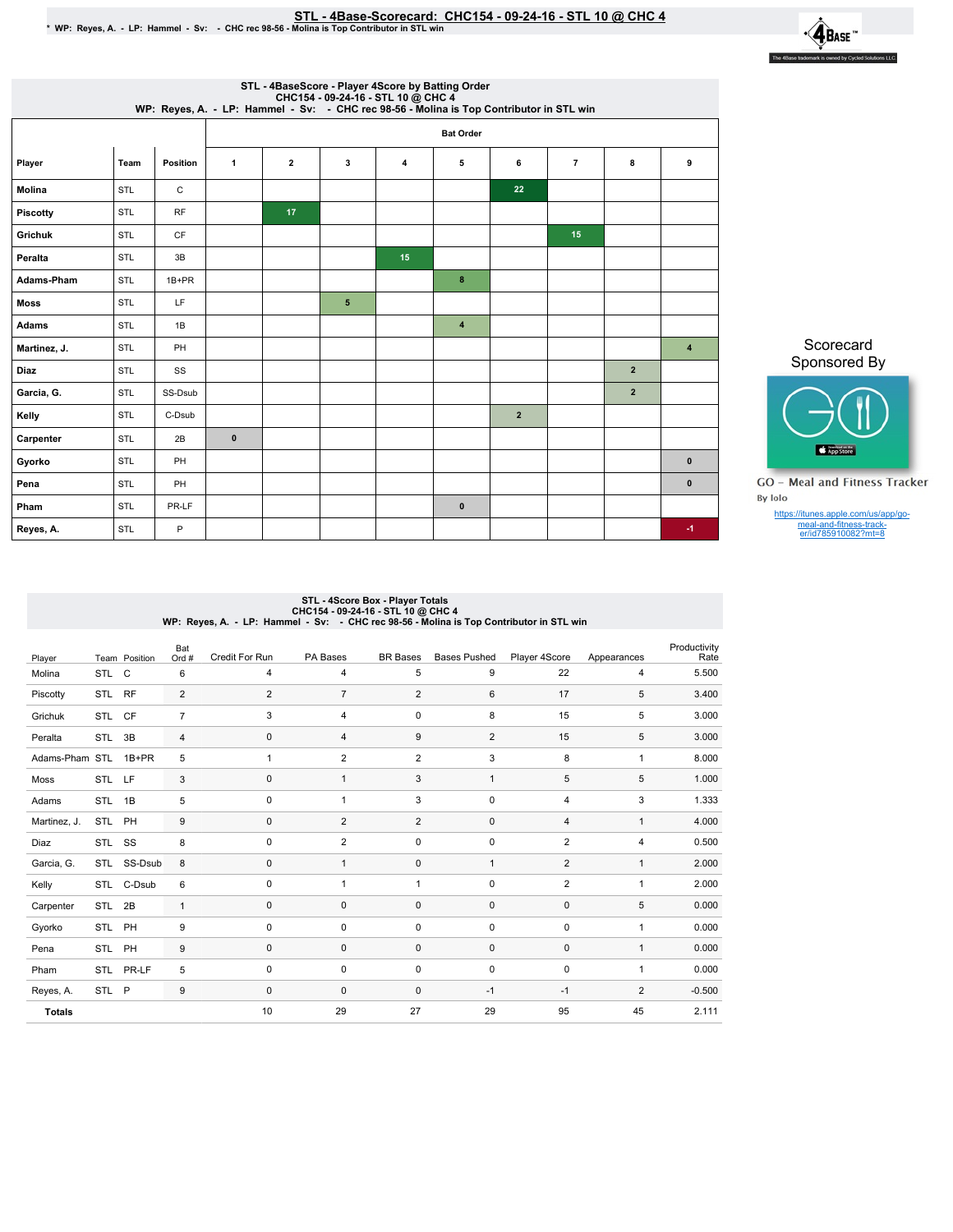## STL - 4Base-Scorecard: CHC154 - 09-24-16 - STL 10 @ CHC 4 لا STL - 4Base-Scorecard: CHC154 - 09-24-16 - STL 10 # STL<br>WP: Reyes, A. - LP: Hammel - Sv: - CHC rec 98-56 - Molina is Top Contributor in STL win \*



| STL - 4BaseScore - Player 4Score by Batting Order<br>CHC154 - 09-24-16 - STL 10 @ CHC 4<br>WP: Reyes, A. - LP: Hammel - Sv: - CHC rec 98-56 - Molina is Top Contributor in STL win |                  |           |              |                |   |    |                  |              |                |                |                         |  |  |
|------------------------------------------------------------------------------------------------------------------------------------------------------------------------------------|------------------|-----------|--------------|----------------|---|----|------------------|--------------|----------------|----------------|-------------------------|--|--|
|                                                                                                                                                                                    | <b>Bat Order</b> |           |              |                |   |    |                  |              |                |                |                         |  |  |
| Player                                                                                                                                                                             | Team             | Position  | $\mathbf{1}$ | $\overline{2}$ | 3 | 4  | 5                | 6            | $\overline{7}$ | 8              | 9                       |  |  |
| Molina                                                                                                                                                                             | STL              | C         |              |                |   |    |                  | 22           |                |                |                         |  |  |
| Piscotty                                                                                                                                                                           | <b>STL</b>       | <b>RF</b> |              | 17             |   |    |                  |              |                |                |                         |  |  |
| Grichuk                                                                                                                                                                            | STL              | CF        |              |                |   |    |                  |              | 15             |                |                         |  |  |
| Peralta                                                                                                                                                                            | <b>STL</b>       | 3B        |              |                |   | 15 |                  |              |                |                |                         |  |  |
| <b>Adams-Pham</b>                                                                                                                                                                  | STL              | $1B+PR$   |              |                |   |    | 8                |              |                |                |                         |  |  |
| <b>Moss</b>                                                                                                                                                                        | <b>STL</b>       | LF        |              |                | 5 |    |                  |              |                |                |                         |  |  |
| <b>Adams</b>                                                                                                                                                                       | STL              | 1B        |              |                |   |    | $\boldsymbol{4}$ |              |                |                |                         |  |  |
| Martinez, J.                                                                                                                                                                       | <b>STL</b>       | PH        |              |                |   |    |                  |              |                |                | $\overline{\mathbf{4}}$ |  |  |
| <b>Diaz</b>                                                                                                                                                                        | STL              | SS        |              |                |   |    |                  |              |                | $\overline{2}$ |                         |  |  |
| Garcia, G.                                                                                                                                                                         | STL              | SS-Dsub   |              |                |   |    |                  |              |                | $\overline{2}$ |                         |  |  |
| Kelly                                                                                                                                                                              | STL              | C-Dsub    |              |                |   |    |                  | $\mathbf{2}$ |                |                |                         |  |  |
| Carpenter                                                                                                                                                                          | <b>STL</b>       | 2B        | $\pmb{0}$    |                |   |    |                  |              |                |                |                         |  |  |
| Gyorko                                                                                                                                                                             | STL              | PH        |              |                |   |    |                  |              |                |                | $\bf{0}$                |  |  |
| Pena                                                                                                                                                                               | STL              | PH        |              |                |   |    |                  |              |                |                | $\mathbf{0}$            |  |  |
| Pham                                                                                                                                                                               | STL              | PR-LF     |              |                |   |    | $\mathbf{0}$     |              |                |                |                         |  |  |
| Reyes, A.                                                                                                                                                                          | <b>STL</b>       | P         |              |                |   |    |                  |              |                |                | $-1$                    |  |  |

Scorecard Sponsored By



**GO** - Meal and Fitness Tracker By Iolo

https://itunes.apple.com/us/app/go-meal-and-fitness-track-er/id785910082?mt=8

## STL - 4Score Box - Player Totals<br>CHC154 - 09-24-16 - STL 10 @ CHC 4<br>WP: Reyes, A. - LP: Hammel - Sv: - CHC rec 98-56 - Molina is Top Contributor in STL win

| Player         |            | Team Position | Bat<br>Ord #   | Credit For Run | PA Bases       | <b>BR</b> Bases | <b>Bases Pushed</b> | Player 4Score  | Appearances    | Productivity<br>Rate |
|----------------|------------|---------------|----------------|----------------|----------------|-----------------|---------------------|----------------|----------------|----------------------|
| Molina         | STL C      |               | 6              | 4              | 4              | 5               | 9                   | 22             | 4              | 5.500                |
| Piscotty       | STL        | <b>RF</b>     | $\overline{2}$ | $\overline{2}$ | $\overline{7}$ | $\overline{2}$  | 6                   | 17             | 5              | 3.400                |
| Grichuk        | <b>STL</b> | <b>CF</b>     | $\overline{7}$ | 3              | $\overline{4}$ | 0               | 8                   | 15             | 5              | 3.000                |
| Peralta        | STL        | 3B            | $\overline{4}$ | $\mathbf{0}$   | 4              | 9               | $\overline{2}$      | 15             | 5              | 3.000                |
| Adams-Pham STL |            | $1B+PR$       | 5              | 1              | 2              | $\overline{2}$  | 3                   | 8              | 1              | 8.000                |
| Moss           | STL        | LF            | 3              | $\mathbf 0$    | 1              | 3               | $\mathbf{1}$        | 5              | 5              | 1.000                |
| Adams          | <b>STL</b> | 1B            | 5              | $\mathbf 0$    | 1              | 3               | $\mathbf 0$         | $\overline{4}$ | 3              | 1.333                |
| Martinez, J.   | STL PH     |               | 9              | $\mathbf{0}$   | $\overline{2}$ | $\overline{2}$  | $\mathbf 0$         | $\overline{4}$ | $\mathbf{1}$   | 4.000                |
| Diaz           | STL SS     |               | 8              | $\mathbf 0$    | $\overline{2}$ | 0               | 0                   | $\overline{2}$ | $\overline{4}$ | 0.500                |
| Garcia, G.     |            | STL SS-Dsub   | 8              | 0              | $\mathbf{1}$   | 0               | 1                   | 2              | 1              | 2.000                |
| Kelly          |            | STL C-Dsub    | 6              | $\mathbf 0$    | $\overline{1}$ | $\mathbf{1}$    | 0                   | 2              | $\mathbf{1}$   | 2.000                |
| Carpenter      | STL        | 2B            | $\mathbf{1}$   | $\mathbf 0$    | $\mathbf 0$    | 0               | $\mathbf 0$         | $\mathbf 0$    | 5              | 0.000                |
| Gyorko         | STL        | PH            | 9              | $\mathbf 0$    | $\mathbf 0$    | 0               | $\mathbf 0$         | 0              | $\mathbf{1}$   | 0.000                |
| Pena           | STL        | PH            | 9              | 0              | $\mathbf 0$    | 0               | $\mathbf 0$         | $\mathbf 0$    | $\mathbf{1}$   | 0.000                |
| Pham           |            | STL PR-LF     | 5              | $\mathbf 0$    | 0              | 0               | 0                   | 0              | $\mathbf{1}$   | 0.000                |
| Reyes, A.      | STL P      |               | 9              | $\mathbf 0$    | $\mathbf 0$    | $\mathbf 0$     | $-1$                | $-1$           | $\overline{2}$ | $-0.500$             |
| <b>Totals</b>  |            |               |                | 10             | 29             | 27              | 29                  | 95             | 45             | 2.111                |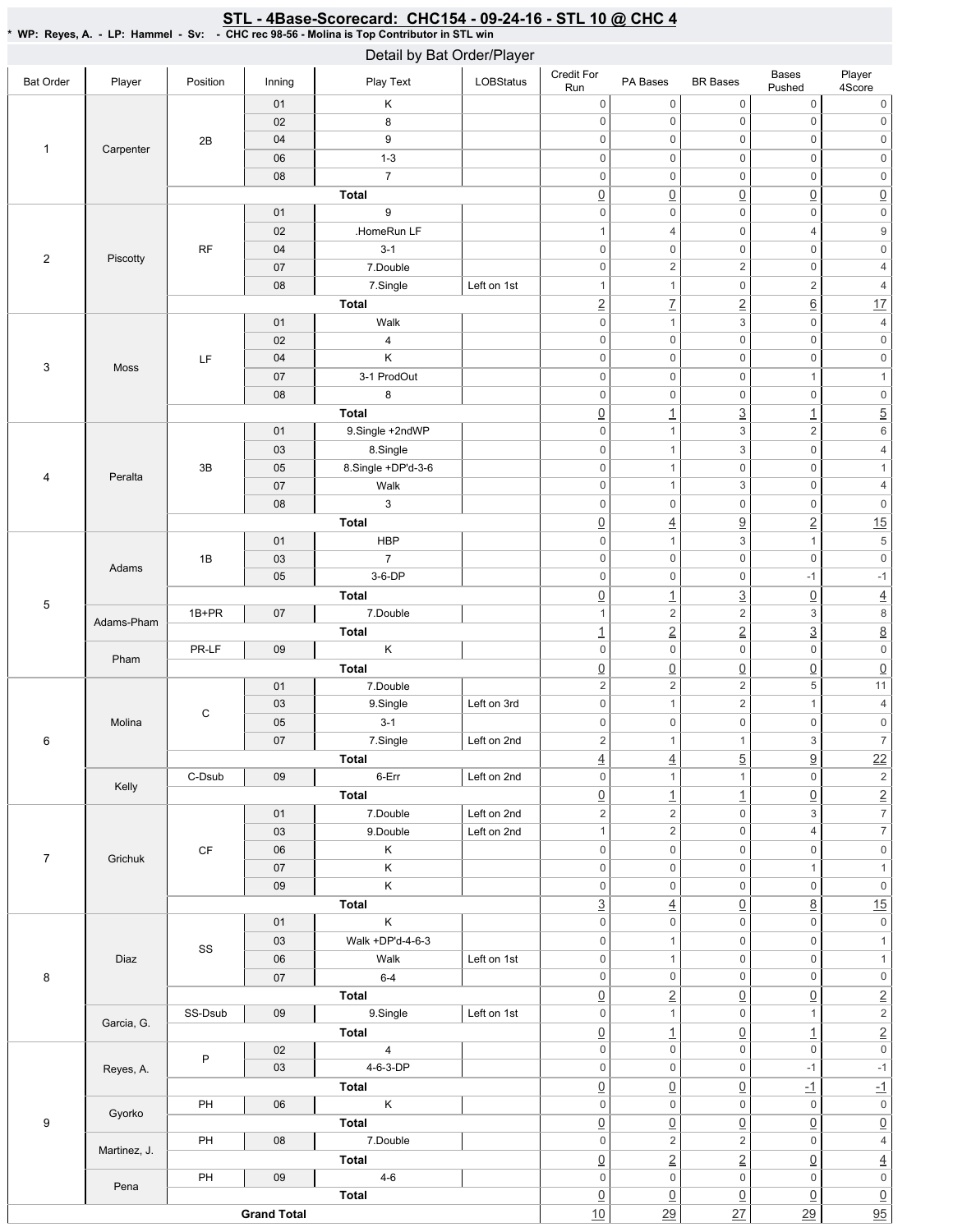## STL - 4Base-Scorecard: CHC154 - 09-24-16 - STL 10 @ CHC 4

\* WP: Reyes, A. - LP: Hammel - Sv: - CHC rec 98-56 - Molina is Top Contributor in STL win

| Detail by Bat Order/Player                                                     |              |                        |                    |                    |             |                               |                     |                     |                                |                          |
|--------------------------------------------------------------------------------|--------------|------------------------|--------------------|--------------------|-------------|-------------------------------|---------------------|---------------------|--------------------------------|--------------------------|
| <b>Bat Order</b>                                                               | Player       | Position               | Inning             | Play Text          | LOBStatus   | Credit For<br>Run             | PA Bases            | <b>BR</b> Bases     | Bases<br>Pushed                | Player<br>4Score         |
|                                                                                |              |                        | 01                 | Κ                  |             | $\mathbf 0$                   | $\mathsf 0$         | $\boldsymbol{0}$    | $\boldsymbol{0}$               | 0                        |
|                                                                                |              |                        | 02                 | 8                  |             | $\mathbf 0$                   | $\mathsf{O}\xspace$ | $\mathbf 0$         | $\mathsf 0$                    | $\mathsf{O}\xspace$      |
|                                                                                |              | 2B                     | 04                 | 9                  |             | $\mathsf{O}\xspace$           | $\mathbb O$         | $\mathbf 0$         | $\mathsf 0$                    | $\mathbb O$              |
|                                                                                | Carpenter    |                        | 06                 | $1 - 3$            |             | $\mathbf 0$                   | $\mathbb O$         | $\mathbf 0$         | $\mathsf 0$                    | $\mathsf{O}\xspace$      |
|                                                                                |              |                        | 08                 | $\overline{7}$     |             | $\mathbf 0$                   | $\mathbb O$         | $\mathbf 0$         | $\mathsf 0$                    | $\mathsf{O}\xspace$      |
| $\mathbf{1}$<br>$\overline{2}$<br>3<br>4<br>5<br>6<br>$\overline{7}$<br>8<br>9 |              |                        |                    | <b>Total</b>       |             | $\underline{0}$               | $\underline{0}$     | $\overline{0}$      | $\underline{0}$                | $\underline{0}$          |
|                                                                                |              |                        | 01                 | 9                  |             | $\mathbf 0$                   | $\mathbf 0$         | $\boldsymbol{0}$    | $\boldsymbol{0}$               | $\mathsf{O}\xspace$      |
|                                                                                |              |                        | 02                 | .HomeRun LF        |             | 1                             | 4                   | $\boldsymbol{0}$    | 4                              | $\boldsymbol{9}$         |
|                                                                                |              | RF                     | 04                 | $3 - 1$            |             | $\mathbf 0$                   | $\boldsymbol{0}$    | $\mathbf 0$         | $\mathsf 0$                    | $\mathsf{O}\xspace$      |
|                                                                                | Piscotty     |                        | 07                 | 7.Double           |             | $\mathbf 0$                   | 2                   | $\sqrt{2}$          | $\boldsymbol{0}$               | $\overline{4}$           |
|                                                                                |              |                        | 08                 | 7.Single           | Left on 1st | 1                             | $\mathbf{1}$        | $\mathbf 0$         | $\sqrt{2}$                     | $\sqrt{4}$               |
|                                                                                |              |                        |                    | <b>Total</b>       |             |                               | $\overline{1}$      |                     |                                | 17                       |
|                                                                                |              |                        | 01                 | Walk               |             | $\overline{2}$<br>$\mathbf 0$ | $\mathbf{1}$        | $\overline{2}$<br>3 | $\underline{6}$<br>$\mathsf 0$ | $\sqrt{4}$               |
|                                                                                |              |                        |                    |                    |             | $\boldsymbol{0}$              | $\mathbb O$         | $\mathbf 0$         | $\mathsf 0$                    | $\mathsf{O}\xspace$      |
|                                                                                |              |                        | 02                 | 4                  |             |                               |                     |                     |                                |                          |
|                                                                                | Moss         | LF                     | 04                 | Κ                  |             | $\mathsf{0}$                  | $\mathbb O$         | $\mathbf 0$         | $\mathsf 0$                    | $\mathbb O$              |
|                                                                                |              |                        | 07                 | 3-1 ProdOut        |             | $\mathbf 0$                   | $\boldsymbol{0}$    | $\boldsymbol{0}$    | 1                              | $\mathbf{1}$             |
|                                                                                |              |                        | 08                 | 8                  |             | $\mathbf 0$                   | $\mathsf 0$         | $\boldsymbol{0}$    | $\mathsf 0$                    | $\mathsf{O}\xspace$      |
|                                                                                |              |                        |                    | <b>Total</b>       |             | $\underline{0}$               | $\overline{1}$      | $\overline{3}$      | $\overline{1}$                 | $\overline{5}$           |
|                                                                                |              |                        | 01                 | 9.Single +2ndWP    |             | $\mathsf{0}$                  | $\mathbf{1}$        | $\sqrt{3}$          | $\overline{\mathbf{c}}$        | $\,6$                    |
|                                                                                |              |                        | 03                 | 8.Single           |             | $\mathsf{0}$                  | $\mathbf{1}$        | 3                   | $\mathsf 0$                    | $\overline{4}$           |
|                                                                                | Peralta      | 3B                     | 05                 | 8.Single +DP'd-3-6 |             | $\mathsf{0}$                  | $\mathbf{1}$        | $\mathbf 0$         | $\mathsf 0$                    | $\mathbf{1}$             |
|                                                                                |              |                        | 07                 | Walk               |             | $\mathbf 0$                   | $\mathbf{1}$        | 3                   | $\mathsf 0$                    | $\overline{4}$           |
|                                                                                |              |                        | 08                 | $\mathbf{3}$       |             | $\mathbf 0$                   | $\mathsf 0$         | $\mathbf 0$         | $\mathsf 0$                    | $\mathsf{O}\xspace$      |
|                                                                                |              |                        |                    | Total              |             | $\underline{0}$               | $\underline{4}$     | $\underline{9}$     | $\overline{2}$                 | 15                       |
|                                                                                | Adams        | 1B                     | 01                 | <b>HBP</b>         |             | $\mathbf 0$                   | $\mathbf{1}$        | $\sqrt{3}$          | $\mathbf{1}$                   | $\,$ 5 $\,$              |
|                                                                                |              |                        | 03                 | $\overline{7}$     |             | $\mathbf 0$                   | $\mathbb O$         | $\mathbf 0$         | $\mathsf 0$                    | $\mathsf{O}\xspace$      |
|                                                                                |              |                        | 05                 | $3-6-DP$           |             | $\mathbf 0$                   | $\mathbf 0$         | $\mathbf 0$         | $-1$                           | $-1$                     |
|                                                                                |              |                        |                    | Total              |             | $\underline{0}$               | $\overline{1}$      | $\overline{3}$      | $\underline{0}$                | $\overline{4}$           |
|                                                                                |              | 1B+PR                  | 07                 | 7.Double           |             | 1                             | $\sqrt{2}$          | $\sqrt{2}$          | 3                              | $\,8\,$                  |
|                                                                                | Adams-Pham   |                        |                    | Total              |             | $\overline{1}$                | $\underline{2}$     | $\overline{2}$      | $\overline{3}$                 | $\overline{8}$           |
|                                                                                |              | PR-LF                  | 09                 | $\sf K$            |             | $\mathbf 0$                   | $\mathsf 0$         | $\mathbf 0$         | $\boldsymbol{0}$               | $\mathsf{O}\xspace$      |
|                                                                                | Pham         |                        |                    | <b>Total</b>       |             | $\underline{0}$               | $\underline{0}$     | $\underline{0}$     | $\underline{0}$                | $\underline{0}$          |
|                                                                                | Molina       |                        | 01                 | 7.Double           |             | $\overline{2}$                | $\sqrt{2}$          | $\sqrt{2}$          | 5                              | 11                       |
|                                                                                |              |                        | 03                 | 9.Single           | Left on 3rd | $\boldsymbol{0}$              | $\mathbf{1}$        | $\sqrt{2}$          | 1                              | $\overline{4}$           |
|                                                                                |              | С                      | 05                 | $3 - 1$            |             | $\mathsf{0}$                  | $\mathsf 0$         | $\mathbf 0$         | $\boldsymbol{0}$               | $\mathsf{O}\xspace$      |
|                                                                                |              |                        | 07                 | 7.Single           | Left on 2nd | $\overline{2}$                | $\mathbf{1}$        | $\mathbf{1}$        | 3                              | $\overline{7}$           |
|                                                                                |              |                        |                    | <b>Total</b>       |             | $\underline{4}$               | $\underline{4}$     | $\overline{5}$      | $\overline{\partial}$          | $\frac{22}{2}$           |
|                                                                                |              | C-Dsub                 | 09                 | 6-Err              | $\mathbf 0$ | $\mathbf{1}$                  | $\mathbf{1}$        | $\mathbf 0$         | $\overline{2}$                 |                          |
|                                                                                | Kelly        |                        |                    | <b>Total</b>       | Left on 2nd | $\underline{0}$               | $\overline{1}$      | $\overline{1}$      | $\underline{0}$                | $\overline{2}$           |
|                                                                                |              |                        | 01                 | 7.Double           | Left on 2nd | $\overline{c}$                | $\sqrt{2}$          | $\mathbf 0$         | 3                              | $\overline{7}$           |
|                                                                                |              |                        | 03                 | 9.Double           | Left on 2nd | 1                             | $\overline{2}$      | $\mathbf 0$         | 4                              | $\overline{\mathcal{I}}$ |
|                                                                                |              | $\mathsf{C}\mathsf{F}$ | 06                 | $\mathsf K$        |             | $\mathsf{O}\xspace$           | $\mathsf{O}\xspace$ | $\mathbf 0$         | $\mathsf 0$                    | $\mathsf{O}\xspace$      |
|                                                                                | Grichuk      |                        | 07                 | Κ                  |             | $\mathsf{O}\xspace$           | $\mathsf{O}\xspace$ | $\mathbf 0$         | $\mathbf{1}$                   | $\mathbf{1}$             |
|                                                                                |              |                        | 09                 | Κ                  |             | $\mathsf{O}\xspace$           | $\mathsf{O}\xspace$ | $\mathbf 0$         | $\mathsf{O}\xspace$            | $\mathsf{O}\xspace$      |
|                                                                                |              |                        |                    | <b>Total</b>       |             | $\overline{3}$                | $\underline{4}$     | $\overline{0}$      | $\underline{8}$                | 15                       |
|                                                                                |              |                        | 01                 | $\sf K$            |             | $\mathsf{O}\xspace$           | $\mathsf{O}\xspace$ | $\mathbf 0$         | $\mathsf 0$                    | $\mathsf{0}$             |
|                                                                                |              |                        | 03                 | Walk +DP'd-4-6-3   |             | $\mathsf{O}\xspace$           | $\mathbf{1}$        | $\mathsf{O}\xspace$ | $\mathsf 0$                    | $\mathbf{1}$             |
|                                                                                | Diaz         | SS                     | 06                 | Walk               | Left on 1st | $\mathbf 0$                   | $\mathbf{1}$        | $\mathsf{O}\xspace$ | $\mathsf 0$                    | $\mathbf{1}$             |
|                                                                                |              |                        |                    |                    |             | $\mathbf 0$                   | $\mathbf 0$         | $\mathbf 0$         | $\mathsf 0$                    | $\mathsf{0}$             |
|                                                                                |              |                        | 07                 | $6 - 4$            |             |                               |                     |                     |                                |                          |
|                                                                                |              |                        |                    | <b>Total</b>       |             | $\underline{0}$               | $\underline{2}$     | $\underline{0}$     | $\underline{0}$                | $\frac{2}{2}$            |
|                                                                                | Garcia, G.   | SS-Dsub                | 09                 | 9.Single           | Left on 1st | $\mathbf 0$                   | $\mathbf{1}$        | $\mathbf 0$         | $\mathbf{1}$                   |                          |
|                                                                                |              |                        |                    | <b>Total</b>       |             | $\underline{0}$               | $\overline{1}$      | $\underline{0}$     | $\overline{1}$                 | $\frac{2}{0}$            |
|                                                                                |              | P                      | 02                 | $\overline{4}$     |             | $\mathsf{O}\xspace$           | $\mathsf{O}\xspace$ | $\mathbf 0$         | $\mathbf 0$                    |                          |
|                                                                                | Reyes, A.    |                        | 03                 | 4-6-3-DP           |             | $\boldsymbol{0}$              | $\mathsf{O}\xspace$ | $\mathbf 0$         | $-1$                           | $-1$                     |
|                                                                                |              |                        |                    | <b>Total</b>       |             | $\underline{0}$               | $\underline{0}$     | $\underline{0}$     | $-1$                           | $-1$                     |
|                                                                                | Gyorko       | PH                     | 06                 | $\sf K$            |             | $\boldsymbol{0}$              | $\mathbf 0$         | $\mathbf 0$         | $\boldsymbol{0}$               | $\mathsf{0}$             |
|                                                                                |              |                        |                    | Total              |             | $\underline{0}$               | $\underline{0}$     | $\overline{0}$      | $\underline{0}$                | $\underline{0}$          |
|                                                                                | Martinez, J. | PH                     | 08                 | 7.Double           |             | $\mathbf 0$                   | $\sqrt{2}$          | $\sqrt{2}$          | $\mathsf 0$                    | $\overline{4}$           |
|                                                                                |              |                        |                    | Total              |             | $\underline{0}$               | $\underline{2}$     | $\underline{2}$     | $\underline{0}$                | $\overline{4}$           |
|                                                                                | Pena         | PH                     | 09                 | $4 - 6$            |             | $\mathsf{O}\xspace$           | $\mathsf{O}\xspace$ | $\mathbf 0$         | $\mathsf 0$                    | $\overline{\textbf{0}}$  |
|                                                                                |              |                        |                    | <b>Total</b>       |             | $\underline{0}$               | $\underline{0}$     | $\overline{0}$      | $\underline{0}$                | $\underline{0}$          |
|                                                                                |              |                        | <b>Grand Total</b> |                    |             | 10                            | 29                  | 27                  | 29                             | $\overline{95}$          |